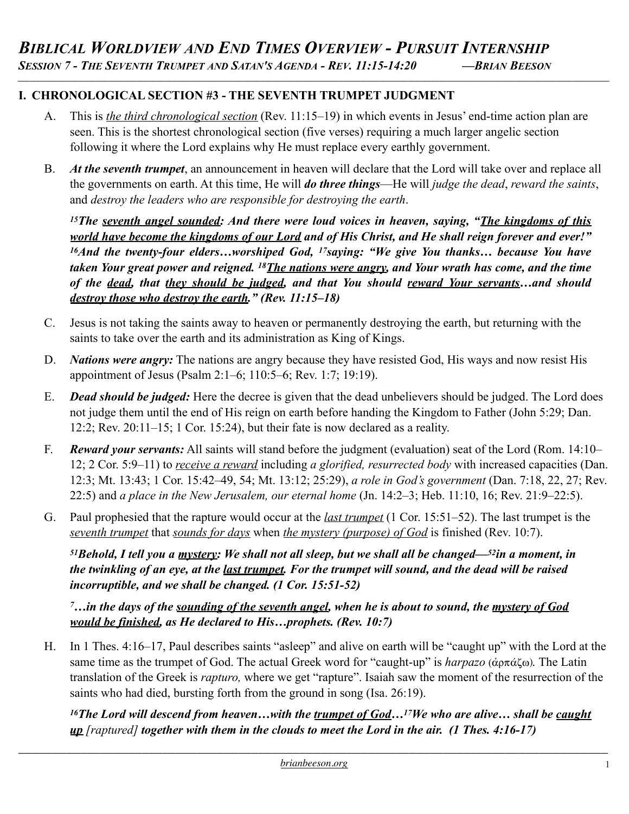## **I. CHRONOLOGICAL SECTION #3 - THE SEVENTH TRUMPET JUDGMENT**

A. This is *the third chronological section* (Rev. 11:15–19) in which events in Jesus' end-time action plan are seen. This is the shortest chronological section (five verses) requiring a much larger angelic section following it where the Lord explains why He must replace every earthly government.

*\_\_\_\_\_\_\_\_\_\_\_\_\_\_\_\_\_\_\_\_\_\_\_\_\_\_\_\_\_\_\_\_\_\_\_\_\_\_\_\_\_\_\_\_\_\_\_\_\_\_\_\_\_\_\_\_\_\_\_\_\_\_\_\_\_\_\_\_\_\_\_\_\_\_\_\_\_\_\_\_\_\_\_\_\_\_\_\_\_\_\_\_\_\_\_\_\_\_\_\_\_\_\_\_\_\_\_\_\_\_\_\_\_\_\_\_\_\_\_\_\_\_\_\_\_\_\_\_\_\_\_\_\_\_\_\_\_\_\_\_\_\_\_\_*

B. *At the seventh trumpet*, an announcement in heaven will declare that the Lord will take over and replace all the governments on earth. At this time, He will *do three things*—He will *judge the dead*, *reward the saints*, and *destroy the leaders who are responsible for destroying the earth*.

*15The seventh angel sounded: And there were loud voices in heaven, saying, "The kingdoms of this world have become the kingdoms of our Lord and of His Christ, and He shall reign forever and ever!" 16And the twenty-four elders…worshiped God, 17saying: "We give You thanks… because You have taken Your great power and reigned. 18The nations were angry, and Your wrath has come, and the time of the dead, that they should be judged, and that You should reward Your servants…and should destroy those who destroy the earth." (Rev. 11:15–18)* 

- C. Jesus is not taking the saints away to heaven or permanently destroying the earth, but returning with the saints to take over the earth and its administration as King of Kings.
- D. *Nations were angry:* The nations are angry because they have resisted God, His ways and now resist His appointment of Jesus (Psalm 2:1–6; 110:5–6; Rev. 1:7; 19:19).
- E. *Dead should be judged:* Here the decree is given that the dead unbelievers should be judged. The Lord does not judge them until the end of His reign on earth before handing the Kingdom to Father (John 5:29; Dan. 12:2; Rev. 20:11–15; 1 Cor. 15:24), but their fate is now declared as a reality.
- F. *Reward your servants:* All saints will stand before the judgment (evaluation) seat of the Lord (Rom. 14:10– 12; 2 Cor. 5:9–11) to *receive a reward* including *a glorified, resurrected body* with increased capacities (Dan. 12:3; Mt. 13:43; 1 Cor. 15:42–49, 54; Mt. 13:12; 25:29), *a role in God's government* (Dan. 7:18, 22, 27; Rev. 22:5) and *a place in the New Jerusalem, our eternal home* (Jn. 14:2–3; Heb. 11:10, 16; Rev. 21:9–22:5).
- G. Paul prophesied that the rapture would occur at the *last trumpet* (1 Cor. 15:51–52). The last trumpet is the *seventh trumpet* that *sounds for days* when *the mystery (purpose) of God* is finished (Rev. 10:7).

*51Behold, I tell you a mystery: We shall not all sleep, but we shall all be changed—52in a moment, in the twinkling of an eye, at the last trumpet. For the trumpet will sound, and the dead will be raised incorruptible, and we shall be changed. (1 Cor. 15:51-52)* 

*7…in the days of the sounding of the seventh angel, when he is about to sound, the mystery of God would be finished, as He declared to His…prophets. (Rev. 10:7)* 

H. In 1 Thes. 4:16–17, Paul describes saints "asleep" and alive on earth will be "caught up" with the Lord at the same time as the trumpet of God. The actual Greek word for "caught-up" is *harpazo* (άρπάζω). The Latin translation of the Greek is *rapturo,* where we get "rapture". Isaiah saw the moment of the resurrection of the saints who had died, bursting forth from the ground in song (Isa. 26:19).

*16The Lord will descend from heaven…with the trumpet of God…17We who are alive… shall be caught up [raptured] together with them in the clouds to meet the Lord in the air. (1 Thes. 4:16-17)*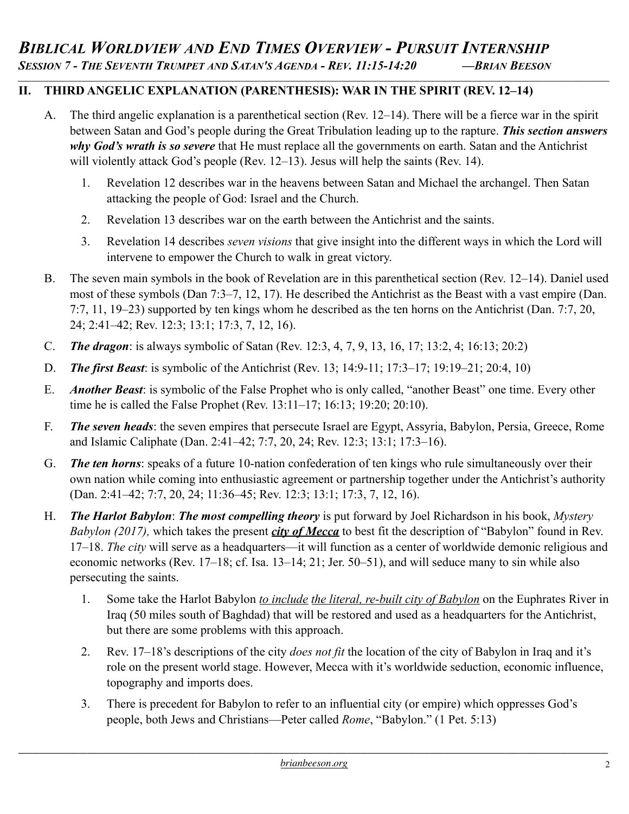# **II. THIRD ANGELIC EXPLANATION (PARENTHESIS): WAR IN THE SPIRIT (REV. 12–14)**

A. The third angelic explanation is a parenthetical section (Rev. 12–14). There will be a fierce war in the spirit between Satan and God's people during the Great Tribulation leading up to the rapture. *This section answers why God's wrath is so severe* that He must replace all the governments on earth. Satan and the Antichrist will violently attack God's people (Rev. 12–13). Jesus will help the saints (Rev. 14).

*\_\_\_\_\_\_\_\_\_\_\_\_\_\_\_\_\_\_\_\_\_\_\_\_\_\_\_\_\_\_\_\_\_\_\_\_\_\_\_\_\_\_\_\_\_\_\_\_\_\_\_\_\_\_\_\_\_\_\_\_\_\_\_\_\_\_\_\_\_\_\_\_\_\_\_\_\_\_\_\_\_\_\_\_\_\_\_\_\_\_\_\_\_\_\_\_\_\_\_\_\_\_\_\_\_\_\_\_\_\_\_\_\_\_\_\_\_\_\_\_\_\_\_\_\_\_\_\_\_\_\_\_\_\_\_\_\_\_\_\_\_\_\_\_*

- 1. Revelation 12 describes war in the heavens between Satan and Michael the archangel. Then Satan attacking the people of God: Israel and the Church.
- 2. Revelation 13 describes war on the earth between the Antichrist and the saints.
- 3. Revelation 14 describes *seven visions* that give insight into the different ways in which the Lord will intervene to empower the Church to walk in great victory.
- B. The seven main symbols in the book of Revelation are in this parenthetical section (Rev. 12–14). Daniel used most of these symbols (Dan 7:3–7, 12, 17). He described the Antichrist as the Beast with a vast empire (Dan. 7:7, 11, 19–23) supported by ten kings whom he described as the ten horns on the Antichrist (Dan. 7:7, 20, 24; 2:41–42; Rev. 12:3; 13:1; 17:3, 7, 12, 16).
- C. *The dragon*: is always symbolic of Satan (Rev. 12:3, 4, 7, 9, 13, 16, 17; 13:2, 4; 16:13; 20:2)
- D. *The first Beast*: is symbolic of the Antichrist (Rev. 13; 14:9-11; 17:3–17; 19:19–21; 20:4, 10)
- E. *Another Beast*: is symbolic of the False Prophet who is only called, "another Beast" one time. Every other time he is called the False Prophet (Rev. 13:11–17; 16:13; 19:20; 20:10).
- F. *The seven heads*: the seven empires that persecute Israel are Egypt, Assyria, Babylon, Persia, Greece, Rome and Islamic Caliphate (Dan. 2:41–42; 7:7, 20, 24; Rev. 12:3; 13:1; 17:3–16).
- G. *The ten horns*: speaks of a future 10-nation confederation of ten kings who rule simultaneously over their own nation while coming into enthusiastic agreement or partnership together under the Antichrist's authority (Dan. 2:41–42; 7:7, 20, 24; 11:36–45; Rev. 12:3; 13:1; 17:3, 7, 12, 16).
- H. *The Harlot Babylon*: *The most compelling theory* is put forward by Joel Richardson in his book, *Mystery Babylon (2017),* which takes the present *city of Mecca* to best fit the description of "Babylon" found in Rev. 17–18. *The city* will serve as a headquarters—it will function as a center of worldwide demonic religious and economic networks (Rev. 17–18; cf. Isa. 13–14; 21; Jer. 50–51), and will seduce many to sin while also persecuting the saints.
	- 1. Some take the Harlot Babylon *to include the literal, re-built city of Babylon* on the Euphrates River in Iraq (50 miles south of Baghdad) that will be restored and used as a headquarters for the Antichrist, but there are some problems with this approach.
	- 2. Rev. 17–18's descriptions of the city *does not fit* the location of the city of Babylon in Iraq and it's role on the present world stage. However, Mecca with it's worldwide seduction, economic influence, topography and imports does.
	- 3. There is precedent for Babylon to refer to an influential city (or empire) which oppresses God's people, both Jews and Christians—Peter called *Rome*, "Babylon." (1 Pet. 5:13)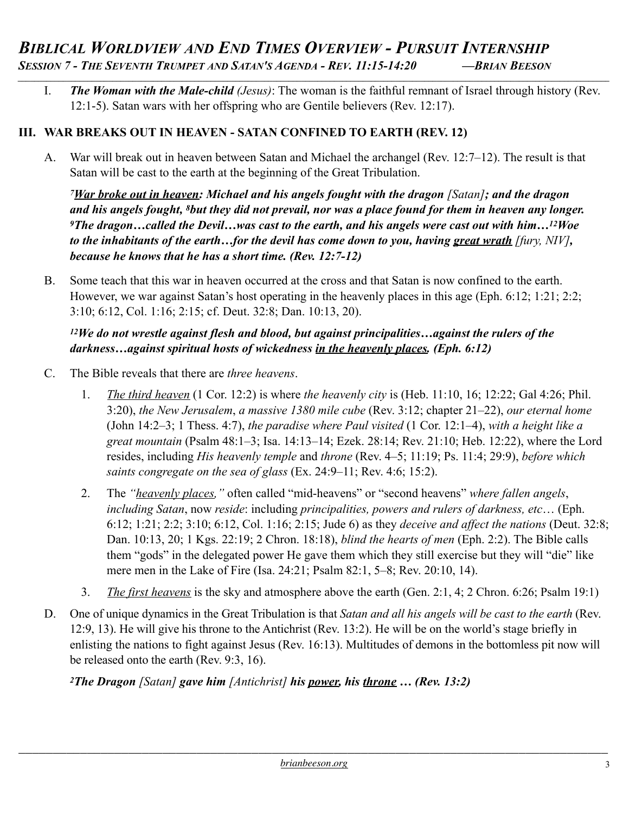I. *The Woman with the Male-child (Jesus)*: The woman is the faithful remnant of Israel through history (Rev. 12:1-5). Satan wars with her offspring who are Gentile believers (Rev. 12:17).

*\_\_\_\_\_\_\_\_\_\_\_\_\_\_\_\_\_\_\_\_\_\_\_\_\_\_\_\_\_\_\_\_\_\_\_\_\_\_\_\_\_\_\_\_\_\_\_\_\_\_\_\_\_\_\_\_\_\_\_\_\_\_\_\_\_\_\_\_\_\_\_\_\_\_\_\_\_\_\_\_\_\_\_\_\_\_\_\_\_\_\_\_\_\_\_\_\_\_\_\_\_\_\_\_\_\_\_\_\_\_\_\_\_\_\_\_\_\_\_\_\_\_\_\_\_\_\_\_\_\_\_\_\_\_\_\_\_\_\_\_\_\_\_\_*

# **III. WAR BREAKS OUT IN HEAVEN - SATAN CONFINED TO EARTH (REV. 12)**

A. War will break out in heaven between Satan and Michael the archangel (Rev. 12:7–12). The result is that Satan will be cast to the earth at the beginning of the Great Tribulation.

*7War broke out in heaven: Michael and his angels fought with the dragon [Satan]; and the dragon and his angels fought, 8but they did not prevail, nor was a place found for them in heaven any longer. 9The dragon…called the Devil…was cast to the earth, and his angels were cast out with him…12Woe to the inhabitants of the earth…for the devil has come down to you, having great wrath [fury, NIV], because he knows that he has a short time. (Rev. 12:7-12)* 

B. Some teach that this war in heaven occurred at the cross and that Satan is now confined to the earth. However, we war against Satan's host operating in the heavenly places in this age (Eph. 6:12; 1:21; 2:2; 3:10; 6:12, Col. 1:16; 2:15; cf. Deut. 32:8; Dan. 10:13, 20).

#### *12We do not wrestle against flesh and blood, but against principalities…against the rulers of the darkness…against spiritual hosts of wickedness in the heavenly places. (Eph. 6:12)*

- C. The Bible reveals that there are *three heavens*.
	- 1. *The third heaven* (1 Cor. 12:2) is where *the heavenly city* is (Heb. 11:10, 16; 12:22; Gal 4:26; Phil. 3:20), *the New Jerusalem*, *a massive 1380 mile cube* (Rev. 3:12; chapter 21–22), *our eternal home*  (John 14:2–3; 1 Thess. 4:7), *the paradise where Paul visited* (1 Cor. 12:1–4), *with a height like a great mountain* (Psalm 48:1–3; Isa. 14:13–14; Ezek. 28:14; Rev. 21:10; Heb. 12:22), where the Lord resides, including *His heavenly temple* and *throne* (Rev. 4–5; 11:19; Ps. 11:4; 29:9), *before which saints congregate on the sea of glass* (Ex. 24:9–11; Rev. 4:6; 15:2).
	- 2. The *"heavenly places,"* often called "mid-heavens" or "second heavens" *where fallen angels*, *including Satan*, now *reside*: including *principalities, powers and rulers of darkness, etc*… (Eph. 6:12; 1:21; 2:2; 3:10; 6:12, Col. 1:16; 2:15; Jude 6) as they *deceive and affect the nations* (Deut. 32:8; Dan. 10:13, 20; 1 Kgs. 22:19; 2 Chron. 18:18), *blind the hearts of men* (Eph. 2:2). The Bible calls them "gods" in the delegated power He gave them which they still exercise but they will "die" like mere men in the Lake of Fire (Isa. 24:21; Psalm 82:1, 5–8; Rev. 20:10, 14).
	- 3. *The first heavens* is the sky and atmosphere above the earth (Gen. 2:1, 4; 2 Chron. 6:26; Psalm 19:1)
- D. One of unique dynamics in the Great Tribulation is that *Satan and all his angels will be cast to the earth* (Rev. 12:9, 13). He will give his throne to the Antichrist (Rev. 13:2). He will be on the world's stage briefly in enlisting the nations to fight against Jesus (Rev. 16:13). Multitudes of demons in the bottomless pit now will be released onto the earth (Rev. 9:3, 16).

*2The Dragon [Satan] gave him [Antichrist] his power, his throne … (Rev. 13:2)*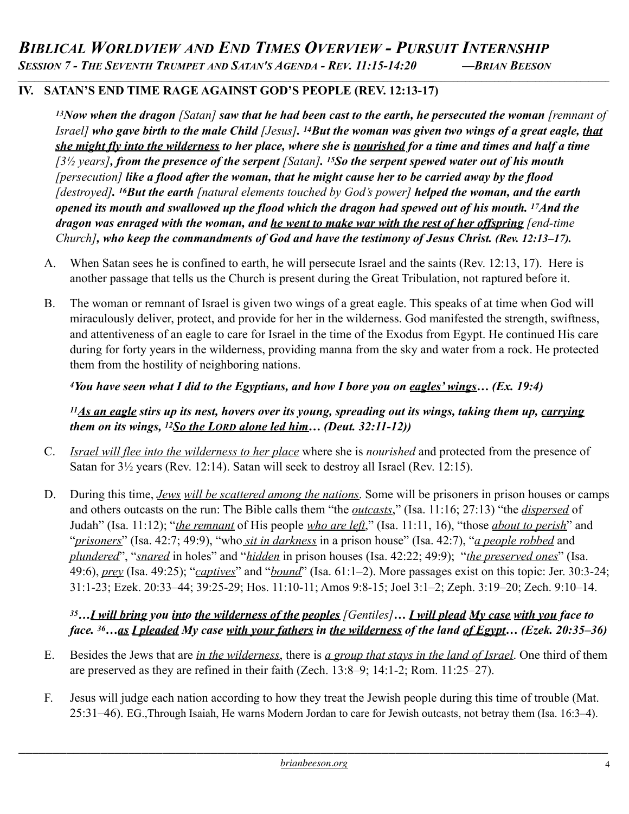*\_\_\_\_\_\_\_\_\_\_\_\_\_\_\_\_\_\_\_\_\_\_\_\_\_\_\_\_\_\_\_\_\_\_\_\_\_\_\_\_\_\_\_\_\_\_\_\_\_\_\_\_\_\_\_\_\_\_\_\_\_\_\_\_\_\_\_\_\_\_\_\_\_\_\_\_\_\_\_\_\_\_\_\_\_\_\_\_\_\_\_\_\_\_\_\_\_\_\_\_\_\_\_\_\_\_\_\_\_\_\_\_\_\_\_\_\_\_\_\_\_\_\_\_\_\_\_\_\_\_\_\_\_\_\_\_\_\_\_\_\_\_\_\_*

# **IV. SATAN'S END TIME RAGE AGAINST GOD'S PEOPLE (REV. 12:13-17)**

*13Now when the dragon [Satan] saw that he had been cast to the earth, he persecuted the woman [remnant of Israel] who gave birth to the male Child [Jesus]. 14But the woman was given two wings of a great eagle, that she might fly into the wilderness to her place, where she is nourished for a time and times and half a time [3½ years], from the presence of the serpent [Satan]. 15So the serpent spewed water out of his mouth [persecution] like a flood after the woman, that he might cause her to be carried away by the flood [destroyed]. 16But the earth [natural elements touched by God's power] helped the woman, and the earth opened its mouth and swallowed up the flood which the dragon had spewed out of his mouth. 17And the dragon was enraged with the woman, and he went to make war with the rest of her offspring [end-time Church], who keep the commandments of God and have the testimony of Jesus Christ. (Rev. 12:13–17).* 

- A. When Satan sees he is confined to earth, he will persecute Israel and the saints (Rev. 12:13, 17). Here is another passage that tells us the Church is present during the Great Tribulation, not raptured before it.
- B. The woman or remnant of Israel is given two wings of a great eagle. This speaks of at time when God will miraculously deliver, protect, and provide for her in the wilderness. God manifested the strength, swiftness, and attentiveness of an eagle to care for Israel in the time of the Exodus from Egypt. He continued His care during for forty years in the wilderness, providing manna from the sky and water from a rock. He protected them from the hostility of neighboring nations.

# *4You have seen what I did to the Egyptians, and how I bore you on eagles' wings… (Ex. 19:4)*

*11As an eagle stirs up its nest, hovers over its young, spreading out its wings, taking them up, carrying them on its wings, 12So the LORD alone led him… (Deut. 32:11-12))*

- C. *Israel will flee into the wilderness to her place* where she is *nourished* and protected from the presence of Satan for 3½ years (Rev. 12:14). Satan will seek to destroy all Israel (Rev. 12:15).
- D. During this time, *Jews will be scattered among the nations*. Some will be prisoners in prison houses or camps and others outcasts on the run: The Bible calls them "the *outcasts*," (Isa. 11:16; 27:13) "the *dispersed* of Judah" (Isa. 11:12); "*the remnant* of His people *who are left*," (Isa. 11:11, 16), "those *about to perish*" and "*prisoners*" (Isa. 42:7; 49:9), "who *sit in darkness* in a prison house" (Isa. 42:7), "*a people robbed* and *plundered*", "*snared* in holes" and "*hidden* in prison houses (Isa. 42:22; 49:9); "*the preserved ones*" (Isa. 49:6), *prey* (Isa. 49:25); "*captives*" and "*bound*" (Isa. 61:1–2). More passages exist on this topic: Jer. 30:3-24; 31:1-23; Ezek. 20:33–44; 39:25-29; Hos. 11:10-11; Amos 9:8-15; Joel 3:1–2; Zeph. 3:19–20; Zech. 9:10–14.

#### *<sup>35</sup>…I will bring you into the wilderness of the peoples [Gentiles]… I will plead My case with you face to face. 36…as I pleaded My case with your fathers in the wilderness of the land of Egypt… (Ezek. 20:35–36)*

- E. Besides the Jews that are *in the wilderness*, there is *a group that stays in the land of Israel*. One third of them are preserved as they are refined in their faith (Zech. 13:8–9; 14:1-2; Rom. 11:25–27).
- F. Jesus will judge each nation according to how they treat the Jewish people during this time of trouble (Mat. 25:31–46). EG.,Through Isaiah, He warns Modern Jordan to care for Jewish outcasts, not betray them (Isa. 16:3–4).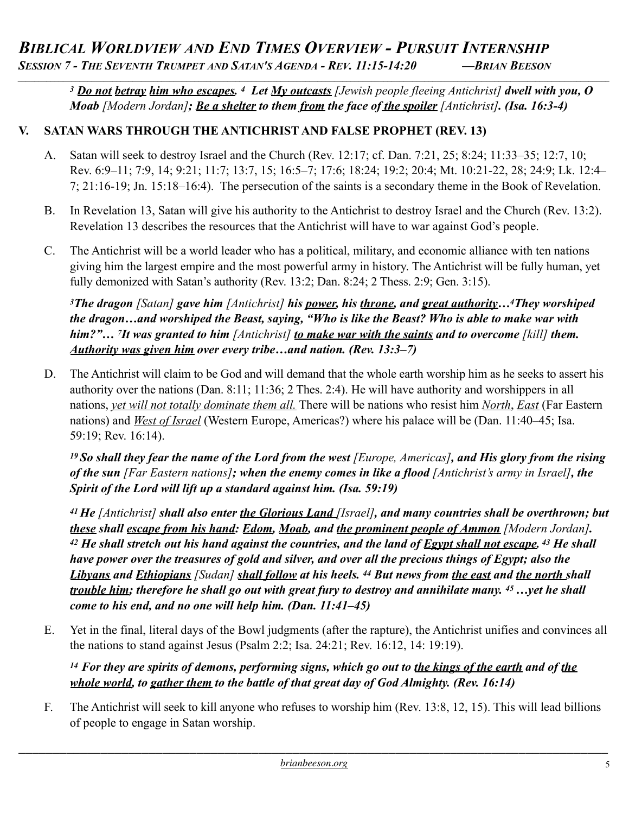# **BIBLICAL WORLDVIEW AND END TIMES OVERVIEW - PURSUIT INTERNSHIP**<br>SESSION 7 - THE SEVENTH TRUMPET AND SATAN'S AGENDA - REV. 11:15-14:20 — BRIAN BEESON *\_\_\_\_\_\_\_\_\_\_\_\_\_\_\_\_\_\_\_\_\_\_\_\_\_\_\_\_\_\_\_\_\_\_\_\_\_\_\_\_\_\_\_\_\_\_\_\_\_\_\_\_\_\_\_\_\_\_\_\_\_\_\_\_\_\_\_\_\_\_\_\_\_\_\_\_\_\_\_\_\_\_\_\_\_\_\_\_\_\_\_\_\_\_\_\_\_\_\_\_\_\_\_\_\_\_\_\_\_\_\_\_\_\_\_\_\_\_\_\_\_\_\_\_\_\_\_\_\_\_\_\_\_\_\_\_\_\_\_\_\_\_\_\_*

*<sup>3</sup> Do not betray him who escapes. 4 Let My outcasts [Jewish people fleeing Antichrist] dwell with you, O Moab [Modern Jordan]; Be a shelter to them from the face of the spoiler [Antichrist]. (Isa. 16:3-4)*

# **V. SATAN WARS THROUGH THE ANTICHRIST AND FALSE PROPHET (REV. 13)**

- A. Satan will seek to destroy Israel and the Church (Rev. 12:17; cf. Dan. 7:21, 25; 8:24; 11:33–35; 12:7, 10; Rev. 6:9–11; 7:9, 14; 9:21; 11:7; 13:7, 15; 16:5–7; 17:6; 18:24; 19:2; 20:4; Mt. 10:21-22, 28; 24:9; Lk. 12:4– 7; 21:16-19; Jn. 15:18–16:4). The persecution of the saints is a secondary theme in the Book of Revelation.
- B. In Revelation 13, Satan will give his authority to the Antichrist to destroy Israel and the Church (Rev. 13:2). Revelation 13 describes the resources that the Antichrist will have to war against God's people.
- C. The Antichrist will be a world leader who has a political, military, and economic alliance with ten nations giving him the largest empire and the most powerful army in history. The Antichrist will be fully human, yet fully demonized with Satan's authority (Rev. 13:2; Dan. 8:24; 2 Thess. 2:9; Gen. 3:15).

*3The dragon [Satan] gave him [Antichrist] his power, his throne, and great authority…4They worshiped the dragon…and worshiped the Beast, saying, "Who is like the Beast? Who is able to make war with him?"… 7It was granted to him [Antichrist] to make war with the saints and to overcome [kill] them. Authority was given him over every tribe…and nation. (Rev. 13:3–7)* 

D. The Antichrist will claim to be God and will demand that the whole earth worship him as he seeks to assert his authority over the nations (Dan. 8:11; 11:36; 2 Thes. 2:4). He will have authority and worshippers in all nations, *yet will not totally dominate them all.* There will be nations who resist him *North*, *East* (Far Eastern nations) and *West of Israel* (Western Europe, Americas?) where his palace will be (Dan. 11:40–45; Isa. 59:19; Rev. 16:14).

*19 So shall they fear the name of the Lord from the west [Europe, Americas], and His glory from the rising of the sun [Far Eastern nations]; when the enemy comes in like a flood [Antichrist's army in Israel], the Spirit of the Lord will lift up a standard against him. (Isa. 59:19)* 

*41 He [Antichrist] shall also enter the Glorious Land [Israel], and many countries shall be overthrown; but these shall escape from his hand: Edom, Moab, and the prominent people of Ammon [Modern Jordan]. 42 He shall stretch out his hand against the countries, and the land of Egypt shall not escape. 43 He shall have power over the treasures of gold and silver, and over all the precious things of Egypt; also the Libyans and Ethiopians [Sudan] shall follow at his heels. 44 But news from the east and the north shall trouble him; therefore he shall go out with great fury to destroy and annihilate many. 45 …yet he shall come to his end, and no one will help him. (Dan. 11:41–45)* 

E. Yet in the final, literal days of the Bowl judgments (after the rapture), the Antichrist unifies and convinces all the nations to stand against Jesus (Psalm 2:2; Isa. 24:21; Rev. 16:12, 14: 19:19).

*<sup>14</sup> For they are spirits of demons, performing signs, which go out to the kings of the earth and of the whole world, to gather them to the battle of that great day of God Almighty. (Rev. 16:14)*

F. The Antichrist will seek to kill anyone who refuses to worship him (Rev. 13:8, 12, 15). This will lead billions of people to engage in Satan worship.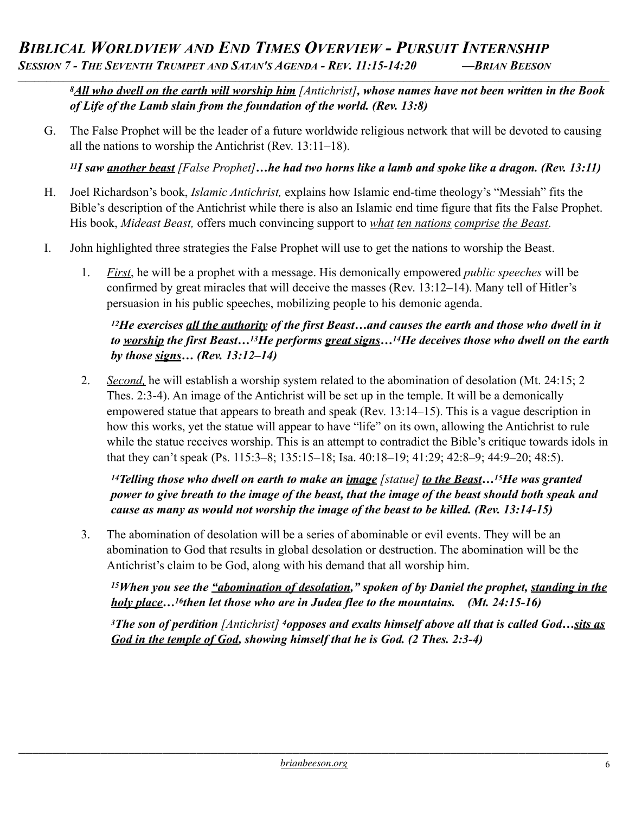*8All who dwell on the earth will worship him [Antichrist], whose names have not been written in the Book of Life of the Lamb slain from the foundation of the world. (Rev. 13:8)* 

G. The False Prophet will be the leader of a future worldwide religious network that will be devoted to causing all the nations to worship the Antichrist (Rev. 13:11–18).

*\_\_\_\_\_\_\_\_\_\_\_\_\_\_\_\_\_\_\_\_\_\_\_\_\_\_\_\_\_\_\_\_\_\_\_\_\_\_\_\_\_\_\_\_\_\_\_\_\_\_\_\_\_\_\_\_\_\_\_\_\_\_\_\_\_\_\_\_\_\_\_\_\_\_\_\_\_\_\_\_\_\_\_\_\_\_\_\_\_\_\_\_\_\_\_\_\_\_\_\_\_\_\_\_\_\_\_\_\_\_\_\_\_\_\_\_\_\_\_\_\_\_\_\_\_\_\_\_\_\_\_\_\_\_\_\_\_\_\_\_\_\_\_\_*

*11I saw another beast [False Prophet]…he had two horns like a lamb and spoke like a dragon. (Rev. 13:11)*

- H. Joel Richardson's book, *Islamic Antichrist,* explains how Islamic end-time theology's "Messiah" fits the Bible's description of the Antichrist while there is also an Islamic end time figure that fits the False Prophet. His book, *Mideast Beast,* offers much convincing support to *what ten nations comprise the Beast*.
- I. John highlighted three strategies the False Prophet will use to get the nations to worship the Beast.
	- 1. *First*, he will be a prophet with a message. His demonically empowered *public speeches* will be confirmed by great miracles that will deceive the masses (Rev. 13:12–14). Many tell of Hitler's persuasion in his public speeches, mobilizing people to his demonic agenda.

#### *12He exercises all the authority of the first Beast…and causes the earth and those who dwell in it to worship the first Beast…13He performs great signs…14He deceives those who dwell on the earth by those signs… (Rev. 13:12–14)*

2. *Second,* he will establish a worship system related to the abomination of desolation (Mt. 24:15; 2 Thes. 2:3-4). An image of the Antichrist will be set up in the temple. It will be a demonically empowered statue that appears to breath and speak (Rev. 13:14–15). This is a vague description in how this works, yet the statue will appear to have "life" on its own, allowing the Antichrist to rule while the statue receives worship. This is an attempt to contradict the Bible's critique towards idols in that they can't speak (Ps. 115:3–8; 135:15–18; Isa. 40:18–19; 41:29; 42:8–9; 44:9–20; 48:5).

*14Telling those who dwell on earth to make an image [statue] to the Beast…15He was granted power to give breath to the image of the beast, that the image of the beast should both speak and cause as many as would not worship the image of the beast to be killed. (Rev. 13:14-15)* 

3. The abomination of desolation will be a series of abominable or evil events. They will be an abomination to God that results in global desolation or destruction. The abomination will be the Antichrist's claim to be God, along with his demand that all worship him.

*15When you see the "abomination of desolation," spoken of by Daniel the prophet, standing in the holy place…16then let those who are in Judea flee to the mountains. (Mt. 24:15-16)* 

*3The son of perdition [Antichrist] 4opposes and exalts himself above all that is called God…sits as God in the temple of God, showing himself that he is God. (2 Thes. 2:3-4)*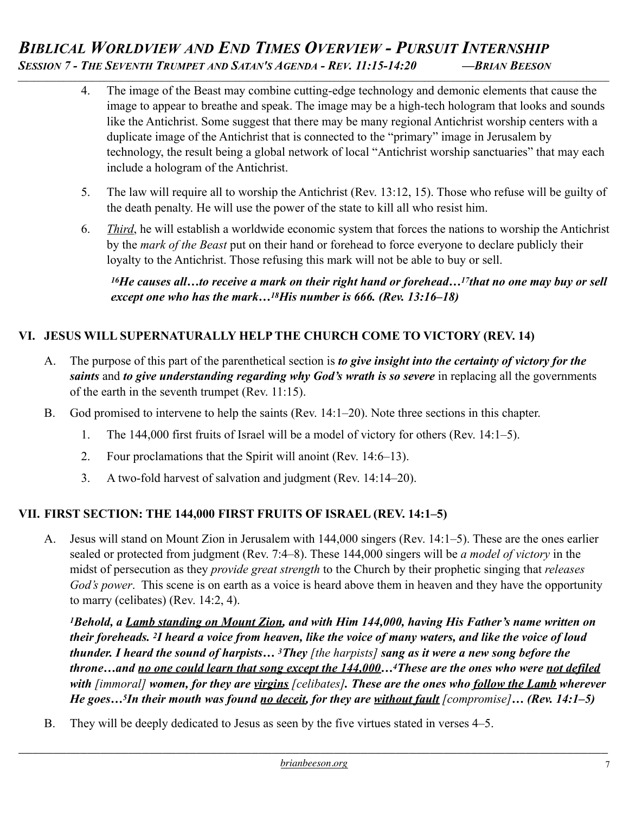- 4. The image of the Beast may combine cutting-edge technology and demonic elements that cause the image to appear to breathe and speak. The image may be a high-tech hologram that looks and sounds like the Antichrist. Some suggest that there may be many regional Antichrist worship centers with a duplicate image of the Antichrist that is connected to the "primary" image in Jerusalem by technology, the result being a global network of local "Antichrist worship sanctuaries" that may each include a hologram of the Antichrist.
- 5. The law will require all to worship the Antichrist (Rev. 13:12, 15). Those who refuse will be guilty of the death penalty. He will use the power of the state to kill all who resist him.
- 6. *Third*, he will establish a worldwide economic system that forces the nations to worship the Antichrist by the *mark of the Beast* put on their hand or forehead to force everyone to declare publicly their loyalty to the Antichrist. Those refusing this mark will not be able to buy or sell.

*16He causes all…to receive a mark on their right hand or forehead…17that no one may buy or sell except one who has the mark…18His number is 666. (Rev. 13:16–18)* 

# **VI. JESUS WILL SUPERNATURALLY HELP THE CHURCH COME TO VICTORY (REV. 14)**

- A. The purpose of this part of the parenthetical section is *to give insight into the certainty of victory for the saints* and *to give understanding regarding why God's wrath is so severe* in replacing all the governments of the earth in the seventh trumpet (Rev. 11:15).
- B. God promised to intervene to help the saints (Rev. 14:1–20). Note three sections in this chapter.
	- 1. The 144,000 first fruits of Israel will be a model of victory for others (Rev. 14:1–5).
	- 2. Four proclamations that the Spirit will anoint (Rev. 14:6–13).
	- 3. A two-fold harvest of salvation and judgment (Rev. 14:14–20).

# **VII. FIRST SECTION: THE 144,000 FIRST FRUITS OF ISRAEL (REV. 14:1–5)**

A. Jesus will stand on Mount Zion in Jerusalem with 144,000 singers (Rev. 14:1–5). These are the ones earlier sealed or protected from judgment (Rev. 7:4–8). These 144,000 singers will be *a model of victory* in the midst of persecution as they *provide great strength* to the Church by their prophetic singing that *releases God's power*. This scene is on earth as a voice is heard above them in heaven and they have the opportunity to marry (celibates) (Rev. 14:2, 4).

*1Behold, a Lamb standing on Mount Zion, and with Him 144,000, having His Father's name written on their foreheads. 2I heard a voice from heaven, like the voice of many waters, and like the voice of loud thunder. I heard the sound of harpists… 3They [the harpists] sang as it were a new song before the throne…and no one could learn that song except the 144,000…4These are the ones who were not defiled with [immoral] women, for they are virgins [celibates]. These are the ones who follow the Lamb wherever He goes…5In their mouth was found no deceit, for they are without fault [compromise]… (Rev. 14:1–5)* 

B. They will be deeply dedicated to Jesus as seen by the five virtues stated in verses 4–5.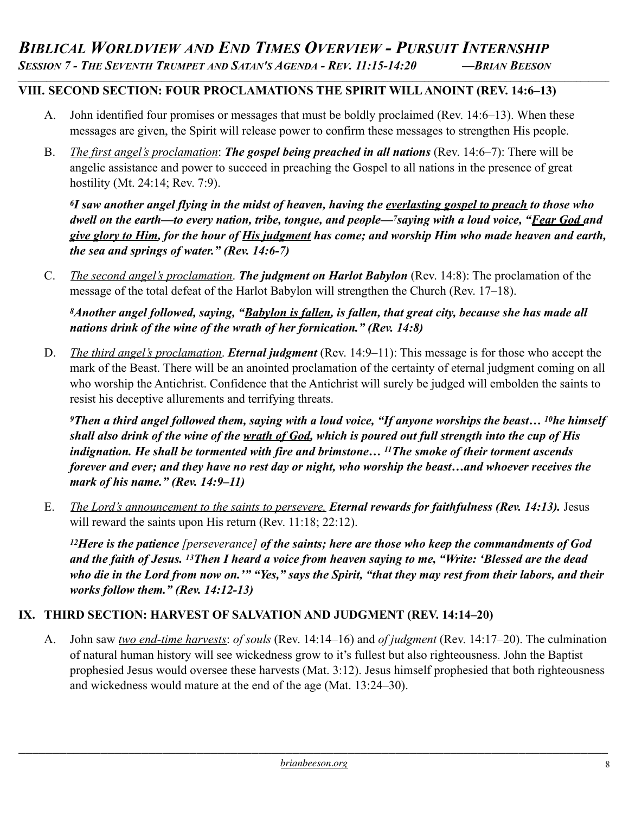# **VIII. SECOND SECTION: FOUR PROCLAMATIONS THE SPIRIT WILL ANOINT (REV. 14:6–13)**

- A. John identified four promises or messages that must be boldly proclaimed (Rev. 14:6–13). When these messages are given, the Spirit will release power to confirm these messages to strengthen His people.
- B. *The first angel's proclamation*: *The gospel being preached in all nations* (Rev. 14:6–7): There will be angelic assistance and power to succeed in preaching the Gospel to all nations in the presence of great hostility (Mt. 24:14; Rev. 7:9).

*6I saw another angel flying in the midst of heaven, having the everlasting gospel to preach to those who dwell on the earth—to every nation, tribe, tongue, and people—7saying with a loud voice, "Fear God and give glory to Him, for the hour of His judgment has come; and worship Him who made heaven and earth, the sea and springs of water." (Rev. 14:6-7)*

C. *The second angel's proclamation*. *The judgment on Harlot Babylon* (Rev. 14:8): The proclamation of the message of the total defeat of the Harlot Babylon will strengthen the Church (Rev. 17–18).

*8Another angel followed, saying, "Babylon is fallen, is fallen, that great city, because she has made all nations drink of the wine of the wrath of her fornication." (Rev. 14:8)* 

D. *The third angel's proclamation*. *Eternal judgment* (Rev. 14:9–11): This message is for those who accept the mark of the Beast. There will be an anointed proclamation of the certainty of eternal judgment coming on all who worship the Antichrist. Confidence that the Antichrist will surely be judged will embolden the saints to resist his deceptive allurements and terrifying threats.

*9Then a third angel followed them, saying with a loud voice, "If anyone worships the beast… 10he himself shall also drink of the wine of the wrath of God, which is poured out full strength into the cup of His indignation. He shall be tormented with fire and brimstone… 11The smoke of their torment ascends forever and ever; and they have no rest day or night, who worship the beast…and whoever receives the mark of his name." (Rev. 14:9–11)* 

E. *The Lord's announcement to the saints to persevere. Eternal rewards for faithfulness (Rev. 14:13).* Jesus will reward the saints upon His return (Rev. 11:18; 22:12).

*12Here is the patience [perseverance] of the saints; here are those who keep the commandments of God and the faith of Jesus. 13Then I heard a voice from heaven saying to me, "Write: 'Blessed are the dead who die in the Lord from now on.'" "Yes," says the Spirit, "that they may rest from their labors, and their works follow them." (Rev. 14:12-13)* 

#### **IX. THIRD SECTION: HARVEST OF SALVATION AND JUDGMENT (REV. 14:14–20)**

A. John saw *two end-time harvests*: *of souls* (Rev. 14:14–16) and *of judgment* (Rev. 14:17–20). The culmination of natural human history will see wickedness grow to it's fullest but also righteousness. John the Baptist prophesied Jesus would oversee these harvests (Mat. 3:12). Jesus himself prophesied that both righteousness and wickedness would mature at the end of the age (Mat. 13:24–30).